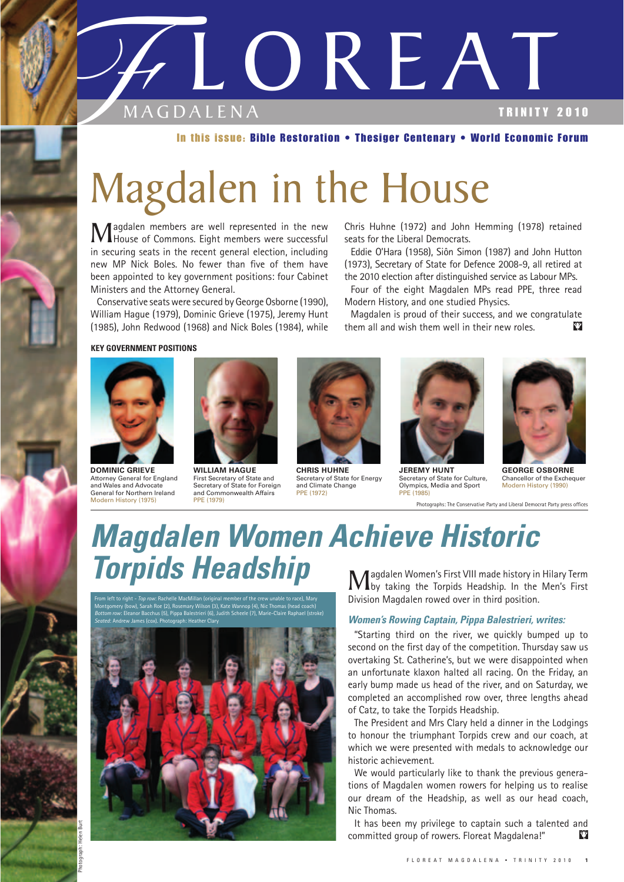

#### In this issue: Bible Restoration • Thesiger Centenary • World Economic Forum

# Magdalen in the House

**Magdalen members are well represented in the new House of Commons.** Eight members were successful in a provincient in the means the process of a problem in all distinctions. in securing seats in the recent general election, including new MP Nick Boles. No fewer than five of them have been appointed to key government positions: four Cabinet Ministers and the Attorney General.

Conservative seats were secured by George Osborne (1990), William Hague (1979), Dominic Grieve (1975), Jeremy Hunt (1985), John Redwood (1968) and Nick Boles (1984), while

Chris Huhne (1972) and John Hemming (1978) retained seats for the Liberal Democrats.

Eddie O'Hara (1958), Siôn Simon (1987) and John Hutton (1973), Secretary of State for Defence 2008-9, all retired at the 2010 election after distinguished service as Labour MPs.

Four of the eight Magdalen MPs read PPE, three read Modern History, and one studied Physics.

Magdalen is proud of their success, and we congratulate them all and wish them well in their new roles.  $\mathbf{v}$ 

#### **KEY GOVERNMENT POSITIONS**



**DOMINIC GRIEVE**  Attorney General for England and Wales and Advocate General for Northern Ireland Modern History (1975)

Photograph: Helen Burt



First Secretary of State and<br>Secretary of State for Foreign and Commonwealth Affairs PPE (1972) PPE (1985)<br>
PPE (1979)





**WILLIAM HAGUE CHRIS HUHNE JEREMY HUNT GEORGE OSBORNE**<br>
First Secretary of State and Secretary of State for Energy Secretary of State for Culture, Chancellor of the Exchequer First Secretary of State for Energy Secretary of State for Culture, Chancellor of the Exd<br>and Climate Change Dlympics, Media and Sport Modern History (1990



Photographs: The Conservative Party and Liberal Democrat Party press offices

## *Magdalen Women Achieve Historic*  **Torpids Headship**<br>Magdalen Women's First VIII made history in Hilary Term<br>Division Magdalen wurd award High partition Jean's First

From left to right - *Top row*: Rachelle MacMillan (original member of the crew unable to race), Mary Montgomery (bow), Sarah Roe (2), Rosemary Wilson (3), Kate Wannop (4), Nic Thomas (head coach) *Bottom row*: Eleanor Bacchus (5), Pippa Balestrieri (6), Judith Scheele (7), Marie-Claire Raphael (stroke) *Seated*: Andrew James (cox). Photograph: Heather Clary



Division Magdalen rowed over in third position.

#### *Women's Rowing Captain, Pippa Balestrieri, writes:*

"Starting third on the river, we quickly bumped up to second on the first day of the competition. Thursday saw us overtaking St. Catherine's, but we were disappointed when an unfortunate klaxon halted all racing. On the Friday, an early bump made us head of the river, and on Saturday, we completed an accomplished row over, three lengths ahead of Catz, to take the Torpids Headship.

The President and Mrs Clary held a dinner in the Lodgings to honour the triumphant Torpids crew and our coach, at which we were presented with medals to acknowledge our historic achievement.

We would particularly like to thank the previous generations of Magdalen women rowers for helping us to realise our dream of the Headship, as well as our head coach, Nic Thomas.

It has been my privilege to captain such a talented and committed group of rowers. Floreat Magdalena!" Ÿ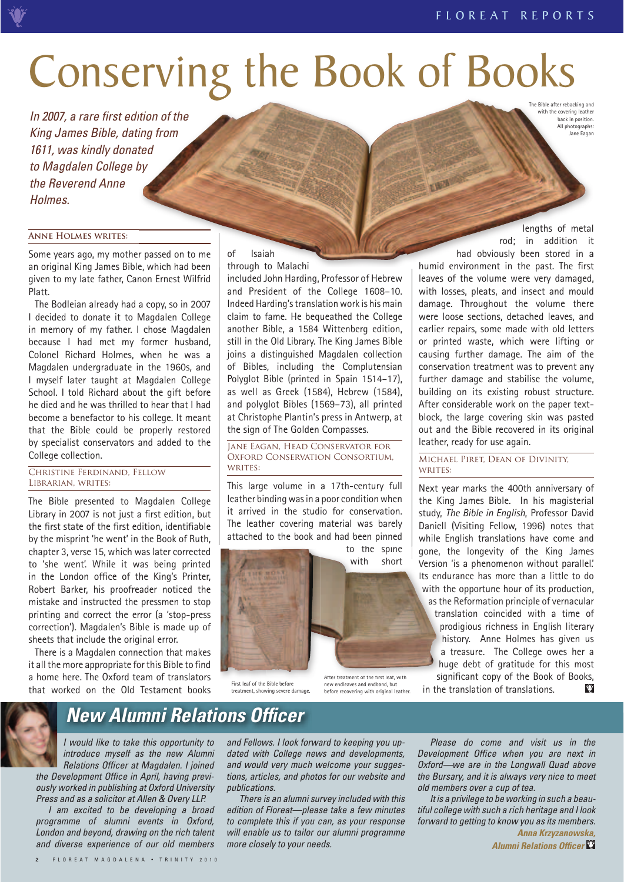# Conserving the Book of Books

i In 2007, a rare first edition of the King James Bible, dating from 1611, was kindly donated to Magdalen College by the Reverend Anne Holmes. Free Bible after the control platter that the control platter that the control platter that the control platter of the both in a passed on to me<br>
e, which had been stored in a humid environment in the past. The first<br>
engt

#### **Anne Holmes writes:**

Some years ago, my mother passed on to me an original King James Bible, which had been given to my late father, Canon Ernest Wilfrid Platt.

The Bodleian already had a copy, so in 2007 I decided to donate it to Magdalen College in memory of my father. I chose Magdalen because I had met my former husband, Colonel Richard Holmes, when he was a Magdalen undergraduate in the 1960s, and I myself later taught at Magdalen College School. I told Richard about the gift before he died and he was thrilled to hear that I had become a benefactor to his college. It meant that the Bible could be properly restored by specialist conservators and added to the College collection.

#### Christine Ferdinand, Fellow Librarian, writes:

The Bible presented to Magdalen College Library in 2007 is not just a first edition, but the first state of the first edition, identifiable by the misprint 'he went' in the Book of Ruth, chapter 3, verse 15, which was later corrected to 'she went'. While it was being printed in the London office of the King's Printer, Robert Barker, his proofreader noticed the mistake and instructed the pressmen to stop printing and correct the error (a 'stop-press correction'). Magdalen's Bible is made up of sheets that include the original error.

There is a Magdalen connection that makes it all the more appropriate for this Bible to find a home here. The Oxford team of translators that worked on the Old Testament books

#### of Isaiah

through to Malachi

included John Harding, Professor of Hebrew and President of the College 1608–10. Indeed Harding's translation work is his main claim to fame. He bequeathed the College another Bible, a 1584 Wittenberg edition, still in the Old Library. The King James Bible joins a distinguished Magdalen collection of Bibles, including the Complutensian Polyglot Bible (printed in Spain 1514–17), as well as Greek (1584), Hebrew (1584), and polyglot Bibles (1569–73), all printed at Christophe Plantin's press in Antwerp, at the sign of The Golden Compasses.

Jane Eagan, Head Conservator for Oxford Conservation Consortium, writes:

This large volume in a 17th-century full leather binding was in a poor condition when it arrived in the studio for conservation. The leather covering material was barely attached to the book and had been pinned

to the spine with short



After treatment of the first leaf, with new endleaves and endband, but before recovering with original leather.

rod; in addition it lengths of metal had obviously been stored in a

with the covering leather back in position. All photographs: Jane Eagan

humid environment in the past. The first leaves of the volume were very damaged, with losses, pleats, and insect and mould damage. Throughout the volume there were loose sections, detached leaves, and earlier repairs, some made with old letters or printed waste, which were lifting or causing further damage. The aim of the conservation treatment was to prevent any further damage and stabilise the volume, building on its existing robust structure. After considerable work on the paper textblock, the large covering skin was pasted out and the Bible recovered in its original leather, ready for use again.

Michael Piret, Dean of Divinity, WRITES:

Next year marks the 400th anniversary of the King James Bible. In his magisterial study, *The Bible in English*, Professor David Daniell (Visiting Fellow, 1996) notes that while English translations have come and gone, the longevity of the King James V ersion 'is a phenomenon without parallel.' Version Its endurance has more than a little to do with the opportune hour of its production, with t as the Reformation principle of vernacular translation coincided with a time of prodigious richness in English literary p history. Anne Holmes has given us h a treasure. The College owes her a huge debt of gratitude for this most significant copy of the Book of Books, sig in the translation of translations.  $\mathbf{v}$ 

### *New Alumni Relations Officer*

I would like to take this opportunity to introduce myself as the new Alumni Relations Officer at Magdalen. I joined the Development Office in April, having previously worked in publishing at Oxford University Press and as a solicitor at Allen & Overy LLP.

I am excited to be developing a broad programme of alumni events in Oxford, London and beyond, drawing on the rich talent and diverse experience of our old members and Fellows. I look forward to keeping you updated with College news and developments, and would very much welcome your suggestions, articles, and photos for our website and publications.

There is an alumni survey included with this edition of Floreat—please take a few minutes to complete this if you can, as your response will enable us to tailor our alumni programme more closely to your needs.

Please do come and visit us in the Development Office when you are next in Oxford—we are in the Longwall Quad above the Bursary, and it is always very nice to meet old members over a cup of tea.

It is a privilege to be working in such a beautiful college with such a rich heritage and I look forward to getting to know you as its members.

> *Anna Krzyzanowska, Alumni Relations Officer*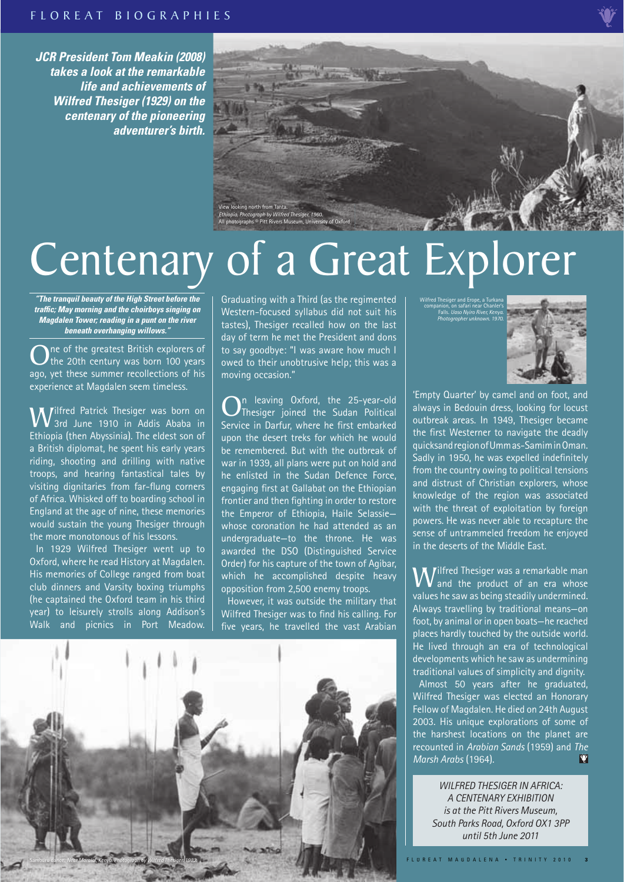*JCR President Tom Meakin (2008) takes a look at the remarkable life and achievements of Wilfred Thesiger (1929) on the centenary of the pioneering adventurer's birth.* 



# Centenary of a Great Explorer

*"The tranquil beauty of the High Street before the traffic; May morning and the choirboys singing on Magdalen Tower; reading in a punt on the river beneath overhanging willows."* 

ne of the greatest British explorers of the 20th century was born 100 years ago, yet these summer recollections of his experience at Magdalen seem timeless.

**Wi**lfred Patrick Thesiger was born on<br>
5 Thionis (than Abussinia) The aldest sen of Ethiopia (then Abyssinia). The eldest son of a British diplomat, he spent his early years riding, shooting and drilling with native troops, and hearing fantastical tales by visiting dignitaries from far-flung corners of Africa. Whisked off to boarding school in England at the age of nine, these memories would sustain the young Thesiger through the more monotonous of his lessons.

In 1929 Wilfred Thesiger went up to Oxford, where he read History at Magdalen. His memories of College ranged from boat club dinners and Varsity boxing triumphs (he captained the Oxford team in his third year) to leisurely strolls along Addison's Walk and picnics in Port Meadow.

Graduating with a Third (as the regimented Western-focused syllabus did not suit his tastes), Thesiger recalled how on the last day of term he met the President and dons to say goodbye: "I was aware how much I owed to their unobtrusive help; this was a moving occasion."

n leaving Oxford, the 25-year-old Thesiger joined the Sudan Political Service in Darfur, where he first embarked upon the desert treks for which he would be remembered. But with the outbreak of war in 1939, all plans were put on hold and he enlisted in the Sudan Defence Force, engaging first at Gallabat on the Ethiopian frontier and then fighting in order to restore the Emperor of Ethiopia, Haile Selassie whose coronation he had attended as an undergraduate—to the throne. He was awarded the DSO (Distinguished Service Order) for his capture of the town of Agibar, which he accomplished despite heavy opposition from 2,500 enemy troops.

However, it was outside the military that Wilfred Thesiger was to find his calling. For five years, he travelled the vast Arabian



Wilfred Thesiger and Erope, a Turkana companion, on safari near Chanler's Falls. *Uaso Nyiro River, Kenya. Photographer unknown. 1970.* 



'Empty Quarter' by camel and on foot, and always in Bedouin dress, looking for locust outbreak areas. In 1949, Thesiger became the first Westerner to navigate the deadly quicksand region of Umm as-Samim in Oman. Sadly in 1950, he was expelled indefinitely from the country owing to political tensions and distrust of Christian explorers, whose knowledge of the region was associated with the threat of exploitation by foreign powers. He was never able to recapture the sense of untrammeled freedom he enjoyed in the deserts of the Middle East.

**W**ilfred Thesiger was a remarkable man<br>and the product of an era whose values he saw as being steadily undermined. Always travelling by traditional means—on foot, by animal or in open boats—he reached places hardly touched by the outside world. He lived through an era of technological developments which he saw as undermining traditional values of simplicity and dignity. Almost 50 years after he graduated, Wilfred Thesiger was elected an Honorary Fellow of Magdalen. He died on 24th August 2003. His unique explorations of some of the harshest locations on the planet are recounted in *Arabian Sands* (1959) and *The*  Ÿ *Marsh Arabs* (1964).

> *WILFRED THESIGER IN AFRICA: A CENTENARY EXHIBITION is at the Pitt Rivers Museum, South Parks Road, Oxford OX1 3PP until 5th June 2011*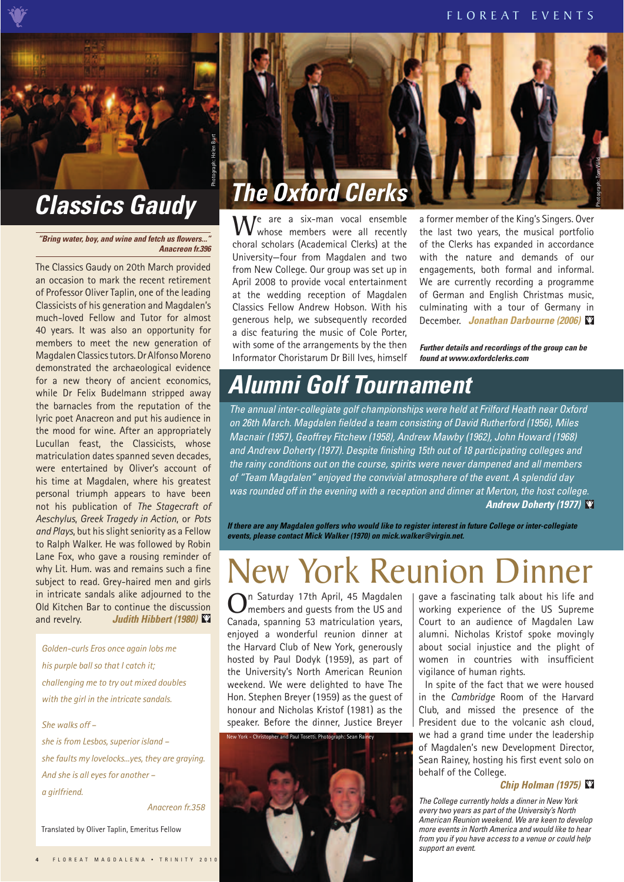*"Bring water, boy, and wine and fetch us flowers.. Anacreon fr.396* 

Judith Hibbert (1980) The Classics Gaudy on 20th March provided an occasion to mark the recent retirement of Professor Oliver Taplin, one of the leading Classicists of his generation and Magdalen's much-loved Fellow and Tutor for almost 40 years. It was also an opportunity for members to meet the new generation of Magdalen Classics tutors. Dr Alfonso Moreno demonstrated the archaeological evidence for a new theory of ancient economics, while Dr Felix Budelmann stripped away the barnacles from the reputation of the lyric poet Anacreon and put his audience in the mood for wine. After an appropriately Lucullan feast, the Classicists, whose matriculation dates spanned seven decades, were entertained by Oliver's account of his time at Magdalen, where his greatest personal triumph appears to have been not his publication of *The Stagecraft of Aeschylus*, *Greek Tragedy in Action*, or *Pots and Plays*, but his slight seniority as a Fellow to Ralph Walker. He was followed by Robin Lane Fox, who gave a rousing reminder of why Lit. Hum. was and remains such a fine subject to read. Grey-haired men and girls in intricate sandals alike adjourned to the Old Kitchen Bar to continue the discussion **CRICUTE CONTROM CONTROM THE CONSTRANT CONTROM THE CLASSICS Gaudy on 20th March provide an occasion to mark the recent retirement for a of Professor Oliver Taplin, one of the leading Classicists of his generation and Magda** 

*Golden-curls Eros once again lobs me his purple ball so that I catch it; challenging me to try out mixed doubles with the girl in the intricate sandals.* 

*She walks off – she is from Lesbos, superior island – she faults my lovelocks...yes, they are graying. And she is all eyes for another – a girlfriend.*

 *Anacreon fr.358* 

Translated by Oliver Taplin, Emeritus Fellow



We are a six-man vocal ensemble whose members were all recently choral scholars (Academical Clerks) at the University—four from Magdalen and two from New College. Our group was set up in April 2008 to provide vocal entertainment at the wedding reception of Magdalen Classics Fellow Andrew Hobson. With his generous help, we subsequently recorded a disc featuring the music of Cole Porter, with some of the arrangements by the then Informator Choristarum Dr Bill Ives, himself

a former member of the King's Singers. Over the last two years, the musical portfolio of the Clerks has expanded in accordance with the nature and demands of our engagements, both formal and informal. We are currently recording a programme of German and English Christmas music, culminating with a tour of Germany in December. *Jonathan Darbourne (2006)* 

*Further details and recordings of the group can be found at www.oxfordclerks.com* 

**Andrew Doherty (1977)** The annual inter-collegiate golf championships were held at Frilford Heath near Oxford on 26th March. Magdalen fielded a team consisting of David Rutherford (1956), Miles Macnair (1957), Geoffrey Fitchew (1958), Andrew Mawby (1962), John Howard (1968) and Andrew Doherty (1977). Despite finishing 15th out of 18 participating colleges and the rainy conditions out on the course, spirits were never dampened and all members of "Team Magdalen" enjoyed the convivial atmosphere of the event. A splendid day was rounded off in the evening with a reception and dinner at Merton, the host college. **Alumni Golf Tournament Conferent The annual inter-collegiate golf championships were held at Frilford Heath near Oxfor on 26th March. Magdalen fielded a team consisting of David Rutherford (1956), Miles Macnair (1957), Ge** 

*If there are any Magdalen golfers who would like to register interest in future College or inter-collegiate events, please contact Mick Walker (1970) on mick.walker@virgin.net.* 

### New York Reunion Dinner

n Saturday 17th April, 45 Magdalen members and guests from the US and Canada, spanning 53 matriculation years, enjoyed a wonderful reunion dinner at the Harvard Club of New York, generously hosted by Paul Dodyk (1959), as part of the University's North American Reunion weekend. We were delighted to have The Hon. Stephen Breyer (1959) as the guest of honour and Nicholas Kristof (1981) as the speaker. Before the dinner, Justice Breyer



gave a fascinating talk about his life and working experience of the US Supreme Court to an audience of Magdalen Law alumni. Nicholas Kristof spoke movingly about social injustice and the plight of women in countries with insufficient vigilance of human rights.

In spite of the fact that we were housed in the *Cambridge* Room of the Harvard Club, and missed the presence of the President due to the volcanic ash cloud, we had a grand time under the leadership of Magdalen's new Development Director, Sean Rainey, hosting his first event solo on behalf of the College.

#### *Chip Holman (1975)*

The College currently holds a dinner in New York every two years as part of the University's North American Reunion weekend. We are keen to develop more events in North America and would like to hear from you if you have access to a venue or could help support an event.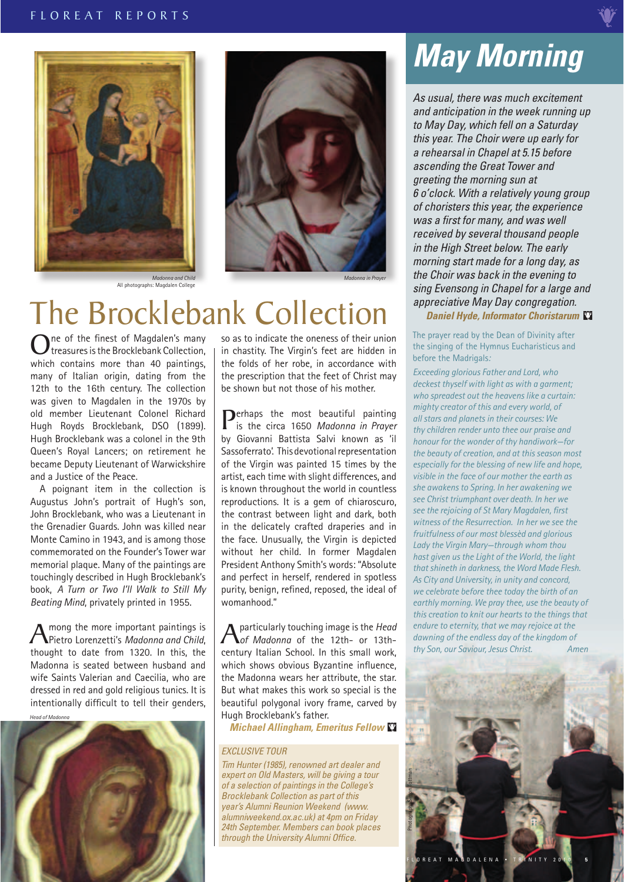

All photographs: Magdalen College



*Madonna in Prayer* 

### The Brocklebank Collection

One of the finest of Magdalen's many<br>treasures is the Brocklebank Collection,<br>which contains mare than 40 pointings which contains more than 40 paintings, many of Italian origin, dating from the 12th to the 16th century. The collection was given to Magdalen in the 1970s by old member Lieutenant Colonel Richard Hugh Royds Brocklebank, DSO (1899). Hugh Brocklebank was a colonel in the 9th Queen's Royal Lancers; on retirement he became Deputy Lieutenant of Warwickshire and a Justice of the Peace.

A poignant item in the collection is Augustus John's portrait of Hugh's son, John Brocklebank, who was a Lieutenant in the Grenadier Guards. John was killed near Monte Camino in 1943, and is among those commemorated on the Founder's Tower war memorial plaque. Many of the paintings are touchingly described in Hugh Brocklebank's book, *A Turn or Two I'll Walk to Still My Beating Mind*, privately printed in 1955.

A mong the more important paintings is<br>
Pietro Lorenzetti's *Madonna and Child*, thought to date from 1320. In this, the Madonna is seated between husband and wife Saints Valerian and Caecilia, who are dressed in red and gold religious tunics. It is intentionally difficult to tell their genders,

*Head of Madonna* 



so as to indicate the oneness of their union in chastity. The Virgin's feet are hidden in the folds of her robe, in accordance with the prescription that the feet of Christ may be shown but not those of his mother.

Perhaps the most beautiful painting is the circa 1650 *Madonna in Prayer*  by Giovanni Battista Salvi known as 'il Sassoferrato'. This devotional representation of the Virgin was painted 15 times by the artist, each time with slight differences, and is known throughout the world in countless reproductions. It is a gem of chiaroscuro, the contrast between light and dark, both in the delicately crafted draperies and in the face. Unusually, the Virgin is depicted without her child. In former Magdalen President Anthony Smith's words: "Absolute and perfect in herself, rendered in spotless purity, benign, refined, reposed, the ideal of womanhood."

Aparticularly touching image is the *Head of Madonna* of the 12th- or 13thcentury Italian School. In this small work, which shows obvious Byzantine influence. the Madonna wears her attribute, the star. But what makes this work so special is the beautiful polygonal ivory frame, carved by Hugh Brocklebank's father.

*Michael Allingham, Emeritus Fellow* 

#### EXCLUSIVE TOUR

Tim Hunter (1985), renowned art dealer and expert on Old Masters, will be giving a tour of a selection of paintings in the College's Brocklebank Collection as part of this year's Alumni Reunion Weekend (www. alumniweekend.ox.ac.uk) at 4pm on Friday 24th September. Members can book places through the University Alumni Office.

### *May Morning*

Daniel Hyde, Informator Choristarum As usual, there was much excitement and anticipation in the week running up to May Day, which fell on a Saturday this year. The Choir were up early for a rehearsal in Chapel at 5.15 before ascending the Great Tower and greeting the morning sun at 6 o'clock. With a relatively young group of choristers this year, the experience was a first for many, and was well received by several thousand people in the High Street below. The early morning start made for a long day, as the Choir was back in the evening to sing Evensong in Chapel for a large and appreciative May Day congregation.

The prayer read by the Dean of Divinity after the singing of the Hymnus Eucharisticus and

before the Madrigals*:* 

*Exceeding glorious Father and Lord, who deckest thyself with light as with a garment; who spreadest out the heavens like a curtain: mighty creator of this and every world, of all stars and planets in their courses: We thy children render unto thee our praise and honour for the wonder of thy handiwork—for the beauty of creation, and at this season most especially for the blessing of new life and hope, visible in the face of our mother the earth as she awakens to Spring. In her awakening we see Christ triumphant over death. In her we see the rejoicing of St Mary Magdalen, fi rst witness of the Resurrection. In her we see the fruitfulness of our most blessèd and glorious Lady the Virgin Mary—through whom thou hast given us the Light of the World, the light that shineth in darkness, the Word Made Flesh. As City and University, in unity and concord, we celebrate before thee today the birth of an earthly morning. We pray thee, use the beauty of this creation to knit our hearts to the things that endure to eternity, that we may rejoice at the dawning of the endless day of the kingdom of thy Son, our Saviour, Jesus Christ. Amen* 

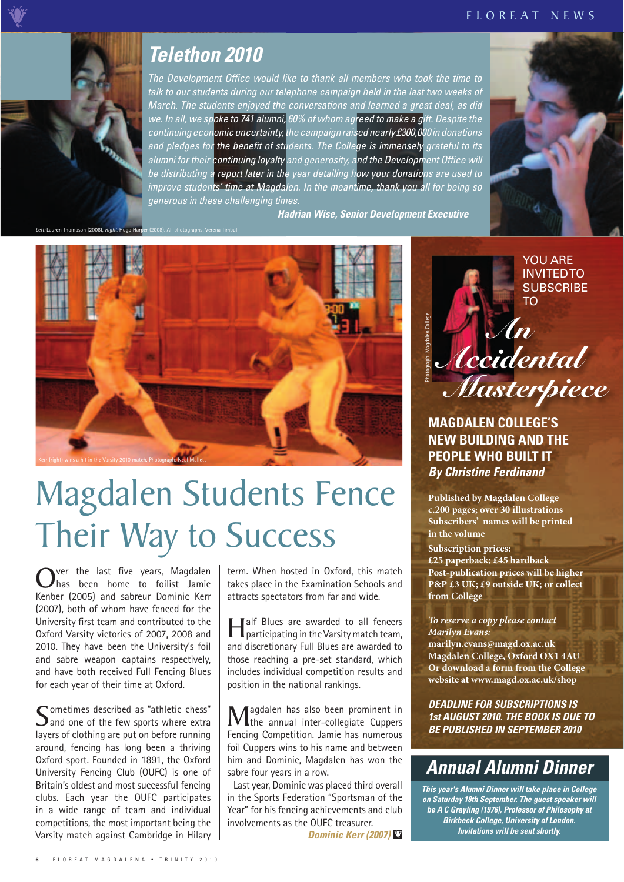#### F L O R E A T N E W S



The Development Office would like to thank all members who took the time to talk to our students during our telephone campaign held in the last two weeks of March. The students enjoyed the conversations and learned a great deal, as did we. In all, we spoke to 741 alumni, 60% of whom agreed to make a gift. Despite the continuing economic uncertainty, the campaign raised nearly £300,000 in donations and pledges for the benefit of students. The College is immensely grateful to its alumni for their continuing loyalty and generosity, and the Development Office will be distributing a report later in the year detailing how your donations are used to improve students' time at Magdalen. In the meantime, thank you all for being so generous in these challenging times. **Telethon 2010**<br> *The Development Office would like to thank all members who took the time*<br> *talk to our students during our telephone campaign held in the last two weeks*<br> *March. The students enjoyed the conversations a* 

**Hadrian Wise, Senior Development Executive** 

*Left: Lauren Thompson (2006), <i>Right: Hugo Harpert* (2008). All *Heft:* Lauren Thompson (2006). *Algent* Hugo Harper



## Magdalen Students Fence Their Way to Success

Over the last five years, Magdalen<br>
Kenher (2005) and sehreur Deminia Kenn Kenber (2005) and sabreur Dominic Kerr (2007), both of whom have fenced for the University first team and contributed to the Oxford Varsity victories of 2007, 2008 and 2010. They have been the University's foil and sabre weapon captains respectively, and have both received Full Fencing Blues for each year of their time at Oxford.

Sometimes described as "athletic chess"<br>Sand one of the few sports where extra<br>layers of electrics are not an before wurning layers of clothing are put on before running around, fencing has long been a thriving Oxford sport. Founded in 1891, the Oxford University Fencing Club (OUFC) is one of Britain's oldest and most successful fencing clubs. Each year the OUFC participates in a wide range of team and individual competitions, the most important being the Varsity match against Cambridge in Hilary term. When hosted in Oxford, this match takes place in the Examination Schools and attracts spectators from far and wide.

**Half Blues are awarded to all fencers**<br>participating in the Varsity match team, and discretionary Full Blues are awarded to those reaching a pre-set standard, which includes individual competition results and position in the national rankings.

Magdalen has also been prominent in<br>
Tensing Compatition Jonia has numerous Fencing Competition. Jamie has numerous foil Cuppers wins to his name and between him and Dominic, Magdalen has won the sabre four years in a row.

Last year, Dominic was placed third overall in the Sports Federation "Sportsman of the Year" for his fencing achievements and club involvements as the OUFC treasurer.

*Dominic Kerr (2007)* 



**MAGDALEN COLLEGE'S NEW BUILDING AND THE PEOPLE WHO BUILT IT**  *By Christine Ferdinand* 

**Published by Magdalen College c.200 pages; over 30 illustrations Subscribers' names will be printed in the volume** 

**Subscription prices:** 

**£25 paperback; £45 hardback Post-publication prices will be higher P&P £3 UK; £9 outside UK; or collect from College** 

*To reserve a copy please contact Marilyn Evans:*  **marilyn.evans@magd.ox.ac.uk Magdalen College, Oxford OX1 4AU Or download a form from the College website at www.magd.ox.ac.uk/shop** 

*DEADLINE FOR SUBSCRIPTIONS IS 1st AUGUST 2010. THE BOOK IS DUE TO BE PUBLISHED IN SEPTEMBER 2010*

### *Annual Alumni Dinner*

*This year's Alumni Dinner will take place in College on Saturday 18th September. The guest speaker will be A C Grayling (1976), Professor of Philosophy at Birkbeck College, University of London. Invitations will be sent shortly.*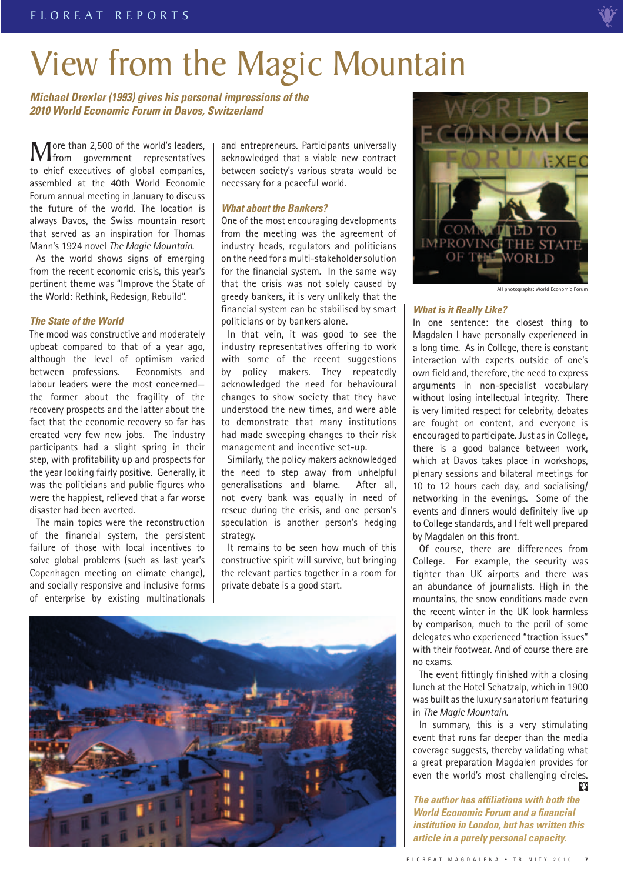## View from the Magic Mountain

*Michael Drexler (1993) gives his personal impressions of the 2010 World Economic Forum in Davos, Switzerland* 

More than 2,500 of the world's leaders,<br>from government representatives<br>to shief systems of slabble companies to chief executives of global companies, assembled at the 40th World Economic Forum annual meeting in January to discuss the future of the world. The location is always Davos, the Swiss mountain resort that served as an inspiration for Thomas Mann's 1924 novel *The Magic Mountain*.

As the world shows signs of emerging from the recent economic crisis, this year's pertinent theme was "Improve the State of the World: Rethink, Redesign, Rebuild".

#### *The State of the World*

The mood was constructive and moderately upbeat compared to that of a year ago, although the level of optimism varied between professions. Economists and labour leaders were the most concerned the former about the fragility of the recovery prospects and the latter about the fact that the economic recovery so far has created very few new jobs. The industry participants had a slight spring in their step, with profitability up and prospects for the year looking fairly positive. Generally, it was the politicians and public figures who were the happiest, relieved that a far worse disaster had been averted.

The main topics were the reconstruction of the financial system, the persistent failure of those with local incentives to solve global problems (such as last year's Copenhagen meeting on climate change), and socially responsive and inclusive forms of enterprise by existing multinationals and entrepreneurs. Participants universally acknowledged that a viable new contract between society's various strata would be necessary for a peaceful world.

#### *What about the Bankers?*

One of the most encouraging developments from the meeting was the agreement of industry heads, regulators and politicians on the need for a multi-stakeholder solution for the financial system. In the same way that the crisis was not solely caused by greedy bankers, it is very unlikely that the financial system can be stabilised by smart politicians or by bankers alone.

In that vein, it was good to see the industry representatives offering to work with some of the recent suggestions by policy makers. They repeatedly acknowledged the need for behavioural changes to show society that they have understood the new times, and were able to demonstrate that many institutions had made sweeping changes to their risk management and incentive set-up.

Similarly, the policy makers acknowledged the need to step away from unhelpful generalisations and blame. After all, not every bank was equally in need of rescue during the crisis, and one person's speculation is another person's hedging strategy.

It remains to be seen how much of this constructive spirit will survive, but bringing the relevant parties together in a room for private debate is a good start.





All photographs: World Economic Forum

#### *What is it Really Like?*

 events and dinners would definitely live up In one sentence: the closest thing to Magdalen I have personally experienced in a long time. As in College, there is constant interaction with experts outside of one's own field and, therefore, the need to express arguments in non-specialist vocabulary without losing intellectual integrity. There is very limited respect for celebrity, debates are fought on content, and everyone is encouraged to participate. Just as in College, there is a good balance between work, which at Davos takes place in workshops, plenary sessions and bilateral meetings for 10 to 12 hours each day, and socialising/ networking in the evenings. Some of the to College standards, and I felt well prepared by Magdalen on this front.

Of course, there are differences from College. For example, the security was tighter than UK airports and there was an abundance of journalists. High in the mountains, the snow conditions made even the recent winter in the UK look harmless by comparison, much to the peril of some delegates who experienced "traction issues" with their footwear. And of course there are no exams.

The event fittingly finished with a closing lunch at the Hotel Schatzalp, which in 1900 was built as the luxury sanatorium featuring in *The Magic Mountain.* 

In summary, this is a very stimulating event that runs far deeper than the media coverage suggests, thereby validating what a great preparation Magdalen provides for even the world's most challenging circles.  $\ddot{\mathbf{v}}$ 

*The author has affiliations with both the World Economic Forum and a fi nancial institution in London, but has written this article in a purely personal capacity.*